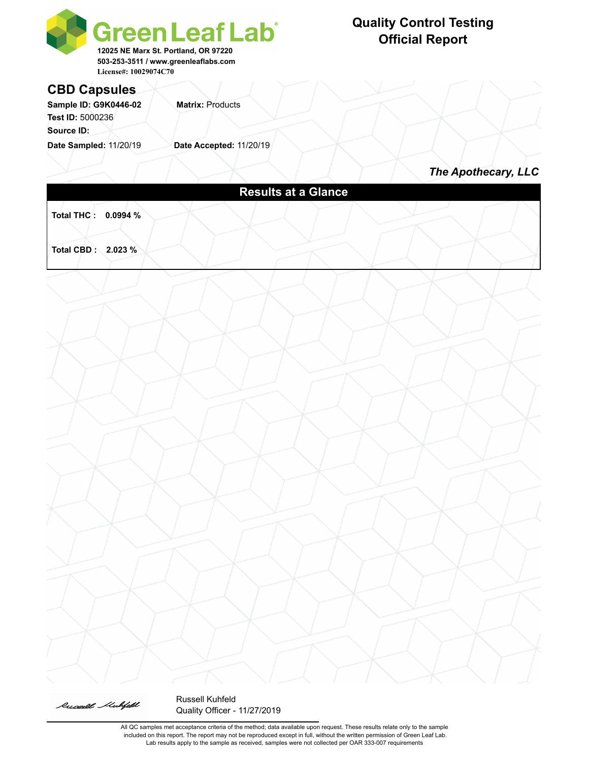



Russell Kuhfeld Quality Officer - 11/27/2019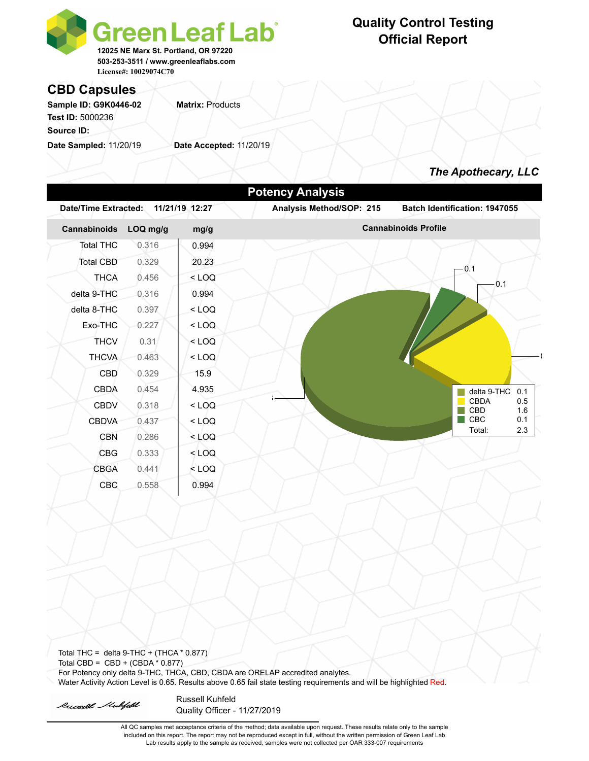

## **Quality Control Testing Official Report**

#### **CBD Capsules**

Sample ID: G9K0446-02 **Matrix: Products Test ID:** 5000236 **Source ID:** 

**Date Sampled:** 11/20/19 **Date Accepted:** 11/20/19

### *The Apothecary, LLC*

| Cannabinoids     | LOQ mg/g | mg/g    | <b>Cannabinoids Profile</b> |                                  |  |  |
|------------------|----------|---------|-----------------------------|----------------------------------|--|--|
| <b>Total THC</b> | 0.316    | 0.994   |                             |                                  |  |  |
| Total CBD        | 0.329    | 20.23   |                             |                                  |  |  |
| <b>THCA</b>      | 0.456    | $<$ LOQ |                             | 0.1<br>0.1                       |  |  |
| delta 9-THC      | 0.316    | 0.994   |                             |                                  |  |  |
| delta 8-THC      | 0.397    | $<$ LOQ |                             |                                  |  |  |
| Exo-THC          | 0.227    | $<$ LOQ |                             |                                  |  |  |
| <b>THCV</b>      | 0.31     | $<$ LOQ |                             |                                  |  |  |
| <b>THCVA</b>     | 0.463    | $<$ LOQ |                             |                                  |  |  |
| <b>CBD</b>       | 0.329    | 15.9    |                             |                                  |  |  |
| <b>CBDA</b>      | 0.454    | 4.935   |                             | delta 9-THC<br>0.1               |  |  |
| <b>CBDV</b>      | 0.318    | $<$ LOQ |                             | <b>CBDA</b><br>0.5<br>CBD<br>1.6 |  |  |
| <b>CBDVA</b>     | 0.437    | $<$ LOQ |                             | CBC<br>0.1                       |  |  |
|                  | 0.286    | $<$ LOQ |                             | Total:<br>2.3                    |  |  |
| <b>CBN</b>       |          | $<$ LOQ |                             |                                  |  |  |
| <b>CBG</b>       | 0.333    |         |                             |                                  |  |  |
| <b>CBGA</b>      | 0.441    | $<$ LOQ |                             |                                  |  |  |

Total THC = delta  $9$ -THC + (THCA  $*$  0.877) Total CBD =  $CBD + (CBDA * 0.877)$ For Potency only delta 9-THC, THCA, CBD, CBDA are ORELAP accredited analytes. Water Activity Action Level is 0.65. Results above 0.65 fail state testing requirements and will be highlighted Red.

Russell Mulifeld

Russell Kuhfeld Quality Officer - 11/27/2019

All QC samples met acceptance criteria of the method; data available upon request. These results relate only to the sample included on this report. The report may not be reproduced except in full, without the written permission of Green Leaf Lab. Lab results apply to the sample as received, samples were not collected per OAR 333-007 requirements